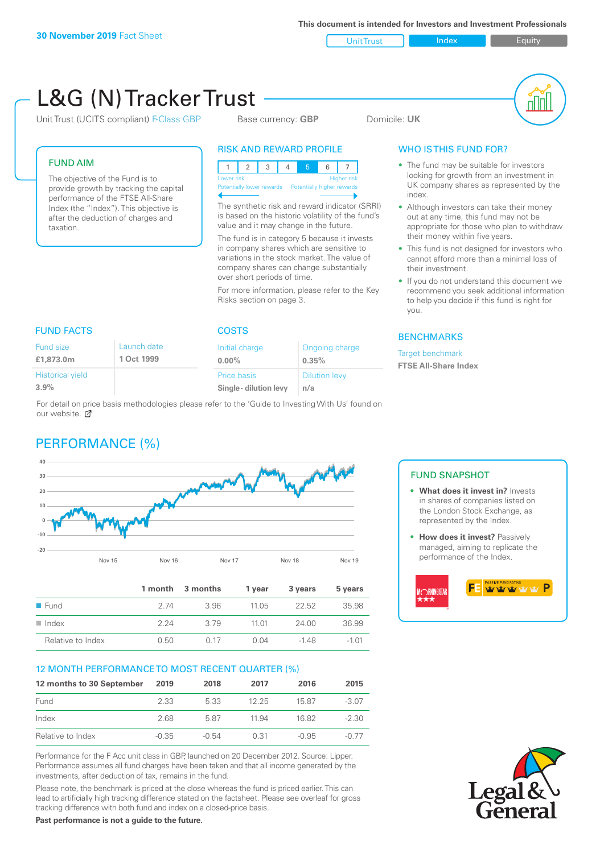Unit Trust Index Index Equity

#### L&G (N) Tracker Trust nN Unit Trust (UCITS compliant) F-Class GBP Base currency: **GBP** Domicile: UK RISK AND REWARD PROFILE WHO IS THIS FUND FOR? FUND AIM • The fund may be suitable for investors 123 4 5 6 7 looking for growth from an investment in The objective of the Fund is to Lower risk and the contract of the Higher risk UK company shares as represented by the provide growth by tracking the capital Potentially lower rewards Potentially higher rewards index. performance of the FTSE All-Share The synthetic risk and reward indicator (SRRI) Index (the "Index"). This objective is • Although investors can take their money is based on the historic volatility of the fund's out at any time, this fund may not be after the deduction of charges and value and it may change in the future. appropriate for those who plan to withdraw taxation. their money within five years. The fund is in category 5 because it invests in company shares which are sensitive to • This fund is not designed for investors who variations in the stock market. The value of cannot afford more than a minimal loss of company shares can change substantially their investment. over short periods of time. If you do not understand this document we recommend you seek additional information For more information, please refer to the Key Risks section on page 3. to help you decide if this fund is right for you. FUND FACTS COSTS **BENCHMARKS** Launch date Fund size Initial charge Ongoing charge Target benchmark **£1,873.0m 1 Oct 1999 0.00% 0.35% FTSE All-Share Index** Historical yield Price basis Dilution levy **3.9% Single - dilution levy n/a** For detail on price basis methodologies please refer to the 'Guide to Investing With Us' found on our website. C PERFORMANCE (%) **40** FUND SNAPSHOT **30 20 • What does it invest in?** Invests in shares of companies listed on **10** the London Stock Exchange, as represented by the Index. **0 -10 • How does it invest?** Passively managed, aiming to replicate the **-20** performance of the Index. Nov 15 Nov 16 Nov 17 Nov 18 Nov 19 **1 month 3 months 1 year 3 years 5 years wwwww DRNINGSTA** ■ Fund 2.74 3.96 11.05 22.52 35.98 n Index 2.24 3.79 11.01 24.00 36.99 Relative to Index 0.50 0.17 0.04 -1.48 -1.01 12 MONTH PERFORMANCE TO MOST RECENT QUARTER (%) **12 months to 30 September 2019 2018 2017 2016 2015** Fund 2.33 5.33 12.25 15.87 -3.07 Index 2.68 5.87 11.94 16.82 -2.30 Relative to Index -0.35 -0.54 0.31 -0.95 -0.77 Performance for the F Acc unit class in GBP, launched on 20 December 2012. Source: Lipper. Performance assumes all fund charges have been taken and that all income generated by the investments, after deduction of tax, remains in the fund.

Please note, the benchmark is priced at the close whereas the fund is priced earlier. This can lead to artificially high tracking difference stated on the factsheet. Please see overleaf for gross tracking difference with both fund and index on a closed-price basis.

**Past performance is not a guide to the future.**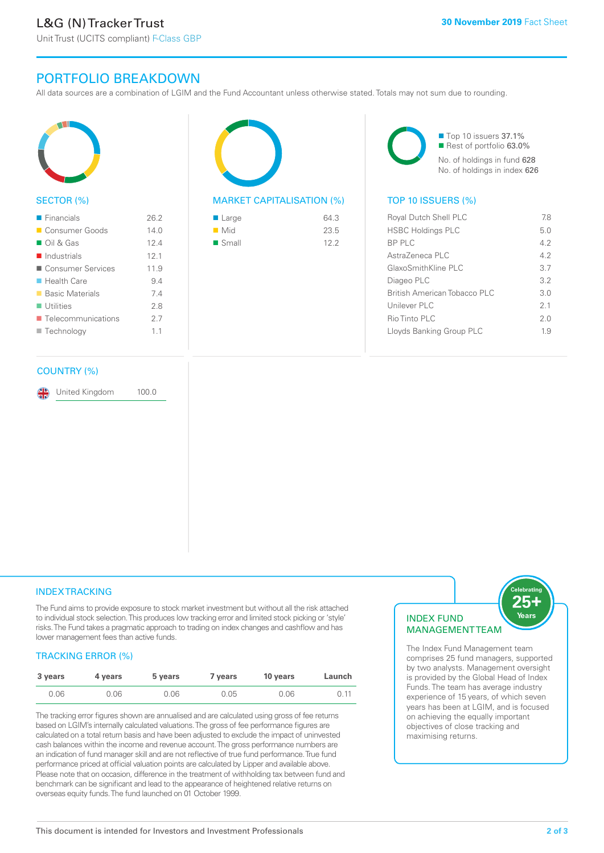Unit Trust (UCITS compliant) F-Class GBP

# PORTFOLIO BREAKDOWN

All data sources are a combination of LGIM and the Fund Accountant unless otherwise stated. Totals may not sum due to rounding.



### SECTOR (%)

| $\blacksquare$ Financials         | 26.2 |
|-----------------------------------|------|
| ■ Consumer Goods                  | 14.0 |
| $\Box$ Oil & Gas                  | 124  |
| $\blacksquare$ Industrials        | 12.1 |
| ■ Consumer Services               | 119  |
| ■ Health Care                     | 94   |
| ■ Basic Materials                 | 74   |
| $\blacksquare$ Utilities          | 28   |
| $\blacksquare$ Telecommunications | 2.7  |
| ■ Technology                      | 11   |
|                                   |      |

### COUNTRY (%)

United Kingdom 100.0

| 64.3 |
|------|
| 23.5 |
| 122  |
|      |

■ Top 10 issuers 37.1% Rest of portfolio 63.0% No. of holdings in fund 628 No. of holdings in index 626

### MARKET CAPITALISATION (%) TOP 10 ISSUERS (%)

| Royal Dutch Shell PLC        | 78  |
|------------------------------|-----|
| <b>HSBC Holdings PLC</b>     | 5.0 |
| BP PLC                       | 42  |
| Astra7eneca PLC              | 42  |
| GlaxoSmithKline PLC          | 37  |
| Diageo PLC                   | 32  |
| British American Tobacco PLC | 3 O |
| Unilever PLC                 | 21  |
| Rio Tinto PLC                | 20  |
| Lloyds Banking Group PLC     | 19  |
|                              |     |

### **INDEX TRACKING**

The Fund aims to provide exposure to stock market investment but without all the risk attached to individual stock selection. This produces low tracking error and limited stock picking or 'style' risks. The Fund takes a pragmatic approach to trading on index changes and cashflow and has lower management fees than active funds.

### TRACKING ERROR (%)

| 3 years | 4 years | 5 years | 7 vears | 10 years | Launch |
|---------|---------|---------|---------|----------|--------|
| 0.06    | 0.06    | 0.06    | 0.05    | 0.06     | 0.11   |

The tracking error figures shown are annualised and are calculated using gross of fee returns based on LGIM's internally calculated valuations. The gross of fee performance figures are calculated on a total return basis and have been adjusted to exclude the impact of uninvested cash balances within the income and revenue account. The gross performance numbers are an indication of fund manager skill and are not reflective of true fund performance. True fund performance priced at official valuation points are calculated by Lipper and available above. Please note that on occasion, difference in the treatment of withholding tax between fund and benchmark can be significant and lead to the appearance of heightened relative returns on overseas equity funds. The fund launched on 01 October 1999.

### INDEX FUND **MANAGEMENTTEAM**

25-Years

The Index Fund Management team comprises 25 fund managers, supported by two analysts. Management oversight is provided by the Global Head of Index Funds. The team has average industry experience of 15 years, of which seven years has been at LGIM, and is focused on achieving the equally important objectives of close tracking and maximising returns.